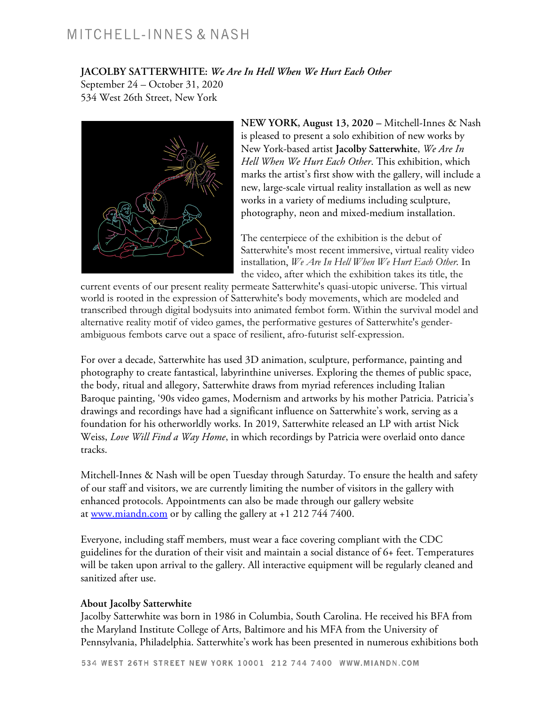## MITCHELL-INNES & NASH

**JACOLBY SATTERWHITE:** *We Are In Hell When We Hurt Each Other*

September 24 – October 31, 2020 534 West 26th Street, New York



**NEW YORK, August 13, 2020 –** Mitchell-Innes & Nash is pleased to present a solo exhibition of new works by New York-based artist **Jacolby Satterwhite**, *We Are In Hell When We Hurt Each Other*. This exhibition, which marks the artist's first show with the gallery, will include a new, large-scale virtual reality installation as well as new works in a variety of mediums including sculpture, photography, neon and mixed-medium installation.

The centerpiece of the exhibition is the debut of Satterwhite's most recent immersive, virtual reality video installation, *We Are In Hell When We Hurt Each Other*. In the video, after which the exhibition takes its title, the

current events of our present reality permeate Satterwhite's quasi-utopic universe. This virtual world is rooted in the expression of Satterwhite's body movements, which are modeled and transcribed through digital bodysuits into animated fembot form. Within the survival model and alternative reality motif of video games, the performative gestures of Satterwhite's genderambiguous fembots carve out a space of resilient, afro-futurist self-expression.

For over a decade, Satterwhite has used 3D animation, sculpture, performance, painting and photography to create fantastical, labyrinthine universes. Exploring the themes of public space, the body, ritual and allegory, Satterwhite draws from myriad references including Italian Baroque painting, '90s video games, Modernism and artworks by his mother Patricia. Patricia's drawings and recordings have had a significant influence on Satterwhite's work, serving as a foundation for his otherworldly works. In 2019, Satterwhite released an LP with artist Nick Weiss, *Love Will Find a Way Home*, in which recordings by Patricia were overlaid onto dance tracks.

Mitchell-Innes & Nash will be open Tuesday through Saturday. To ensure the health and safety of our staff and visitors, we are currently limiting the number of visitors in the gallery with enhanced protocols. Appointments can also be made through our gallery website at www.miandn.com or by calling the gallery at +1 212 744 7400.

Everyone, including staff members, must wear a face covering compliant with the CDC guidelines for the duration of their visit and maintain a social distance of 6+ feet. Temperatures will be taken upon arrival to the gallery. All interactive equipment will be regularly cleaned and sanitized after use.

## **About Jacolby Satterwhite**

Jacolby Satterwhite was born in 1986 in Columbia, South Carolina. He received his BFA from the Maryland Institute College of Arts, Baltimore and his MFA from the University of Pennsylvania, Philadelphia. Satterwhite's work has been presented in numerous exhibitions both